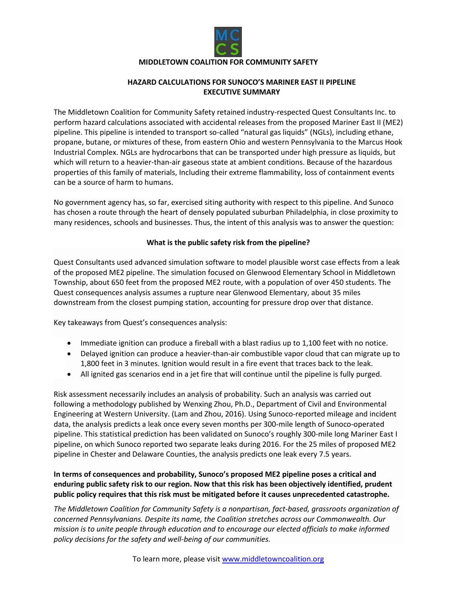

### **HAZARD CALCULATIONS FOR SUNOCO'S MARINER EAST II PIPELINE EXECUTIVE SUMMARY**

The Middletown Coalition for Community Safety retained industry-respected Quest Consultants Inc. to perform hazard calculations associated with accidental releases from the proposed Mariner East II (ME2) pipeline. This pipeline is intended to transport so-called "natural gas liquids" (NGLs), including ethane, propane, butane, or mixtures of these, from eastern Ohio and western Pennsylvania to the Marcus Hook Industrial Complex. NGLs are hydrocarbons that can be transported under high pressure as liquids, but which will return to a heavier-than-air gaseous state at ambient conditions. Because of the hazardous properties of this family of materials, Including their extreme flammability, loss of containment events can be a source of harm to humans.

No government agency has, so far, exercised siting authority with respect to this pipeline. And Sunoco has chosen a route through the heart of densely populated suburban Philadelphia, in close proximity to many residences, schools and businesses. Thus, the intent of this analysis was to answer the question:

### **What is the public safety risk from the pipeline?**

Quest Consultants used advanced simulation software to model plausible worst case effects from a leak of the proposed ME2 pipeline. The simulation focused on Glenwood Elementary School in Middletown Township, about 650 feet from the proposed ME2 route, with a population of over 450 students. The Quest consequences analysis assumes a rupture near Glenwood Elementary, about 35 miles downstream from the closest pumping station, accounting for pressure drop over that distance.

Key takeaways from Quest's consequences analysis:

- Immediate ignition can produce a fireball with a blast radius up to 1,100 feet with no notice.
- Delayed ignition can produce a heavier-than-air combustible vapor cloud that can migrate up to 1,800 feet in 3 minutes. Ignition would result in a fire event that traces back to the leak.
- All ignited gas scenarios end in a jet fire that will continue until the pipeline is fully purged.

Risk assessment necessarily includes an analysis of probability. Such an analysis was carried out following a methodology published by Wenxing Zhou, Ph.D., Department of Civil and Environmental Engineering at Western University. (Lam and Zhou, 2016). Using Sunoco-reported mileage and incident data, the analysis predicts a leak once every seven months per 300-mile length of Sunoco-operated pipeline. This statistical prediction has been validated on Sunoco's roughly 300-mile long Mariner East I pipeline, on which Sunoco reported two separate leaks during 2016. For the 25 miles of proposed ME2 pipeline in Chester and Delaware Counties, the analysis predicts one leak every 7.5 years.

**In terms of consequences and probability, Sunoco's proposed ME2 pipeline poses a critical and enduring public safety risk to our region. Now that this risk has been objectively identified, prudent public policy requires that this risk must be mitigated before it causes unprecedented catastrophe.**

*The Middletown Coalition for Community Safety is a nonpartisan, fact-based, grassroots organization of concerned Pennsylvanians. Despite its name, the Coalition stretches across our Commonwealth. Our mission is to unite people through education and to encourage our elected officials to make informed policy decisions for the safety and well-being of our communities.*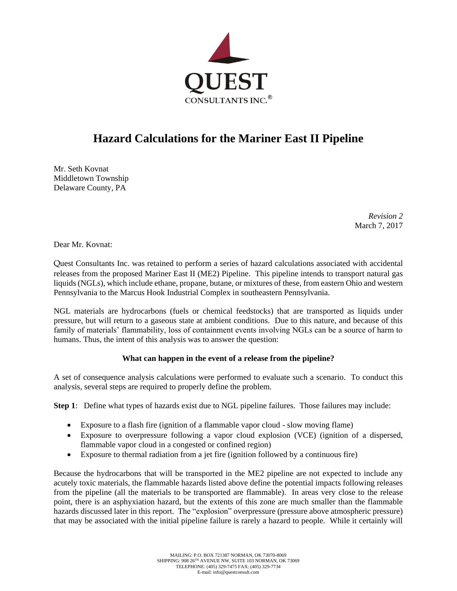

# **Hazard Calculations for the Mariner East II Pipeline**

Mr. Seth Kovnat Middletown Township Delaware County, PA

> *Revision 2* March 7, 2017

Dear Mr. Kovnat:

Quest Consultants Inc. was retained to perform a series of hazard calculations associated with accidental releases from the proposed Mariner East II (ME2) Pipeline. This pipeline intends to transport natural gas liquids (NGLs), which include ethane, propane, butane, or mixtures of these, from eastern Ohio and western Pennsylvania to the Marcus Hook Industrial Complex in southeastern Pennsylvania.

NGL materials are hydrocarbons (fuels or chemical feedstocks) that are transported as liquids under pressure, but will return to a gaseous state at ambient conditions. Due to this nature, and because of this family of materials' flammability, loss of containment events involving NGLs can be a source of harm to humans. Thus, the intent of this analysis was to answer the question:

### **What can happen in the event of a release from the pipeline?**

A set of consequence analysis calculations were performed to evaluate such a scenario. To conduct this analysis, several steps are required to properly define the problem.

**Step 1**: Define what types of hazards exist due to NGL pipeline failures. Those failures may include:

- Exposure to a flash fire (ignition of a flammable vapor cloud slow moving flame)
- Exposure to overpressure following a vapor cloud explosion (VCE) (ignition of a dispersed, flammable vapor cloud in a congested or confined region)
- Exposure to thermal radiation from a jet fire (ignition followed by a continuous fire)

Because the hydrocarbons that will be transported in the ME2 pipeline are not expected to include any acutely toxic materials, the flammable hazards listed above define the potential impacts following releases from the pipeline (all the materials to be transported are flammable). In areas very close to the release point, there is an asphyxiation hazard, but the extents of this zone are much smaller than the flammable hazards discussed later in this report. The "explosion" overpressure (pressure above atmospheric pressure) that may be associated with the initial pipeline failure is rarely a hazard to people. While it certainly will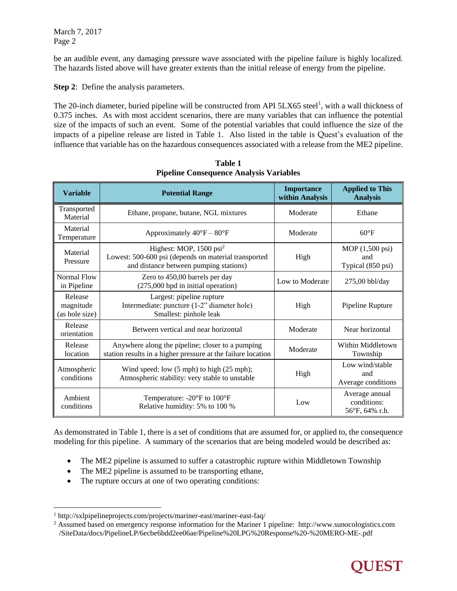be an audible event, any damaging pressure wave associated with the pipeline failure is highly localized. The hazards listed above will have greater extents than the initial release of energy from the pipeline.

**Step 2**: Define the analysis parameters.

The 20-inch diameter, buried pipeline will be constructed from API 5LX65 steel<sup>1</sup>, with a wall thickness of 0.375 inches. As with most accident scenarios, there are many variables that can influence the potential size of the impacts of such an event. Some of the potential variables that could influence the size of the impacts of a pipeline release are listed in Table 1. Also listed in the table is Quest's evaluation of the influence that variable has on the hazardous consequences associated with a release from the ME2 pipeline.

| <b>Variable</b>                        | <b>Potential Range</b>                                                                                                                | <b>Importance</b><br>within Analysis | <b>Applied to This</b><br><b>Analysis</b>            |
|----------------------------------------|---------------------------------------------------------------------------------------------------------------------------------------|--------------------------------------|------------------------------------------------------|
| Transported<br>Material                | Ethane, propane, butane, NGL mixtures                                                                                                 | Moderate                             | Ethane                                               |
| Material<br>Temperature                | Approximately $40^{\circ}F - 80^{\circ}F$                                                                                             | Moderate                             | $60^{\circ}$ F                                       |
| Material<br>Pressure                   | Highest: MOP, 1500 psi <sup>2</sup><br>Lowest: 500-600 psi (depends on material transported<br>and distance between pumping stations) | High                                 | $MOP(1,500 \text{ psi})$<br>and<br>Typical (850 psi) |
| Normal Flow<br>in Pipeline             | Zero to 450,00 barrels per day<br>(275,000 bpd in initial operation)                                                                  | Low to Moderate                      | 275,00 bbl/day                                       |
| Release<br>magnitude<br>(as hole size) | Largest: pipeline rupture<br>Intermediate: puncture (1-2" diameter hole)<br>Smallest: pinhole leak                                    | High                                 | Pipeline Rupture                                     |
| Release<br>orientation                 | Between vertical and near horizontal                                                                                                  | Moderate                             | Near horizontal                                      |
| Release<br>location                    | Anywhere along the pipeline; closer to a pumping<br>station results in a higher pressure at the failure location                      | Moderate                             | Within Middletown<br>Township                        |
| Atmospheric<br>conditions              | Wind speed: low (5 mph) to high (25 mph);<br>Atmospheric stability: very stable to unstable                                           | High                                 | Low wind/stable<br>and<br>Average conditions         |
| Ambient<br>conditions                  | Temperature: $-20^{\circ}$ F to $100^{\circ}$ F<br>Relative humidity: 5% to 100 %                                                     | Low                                  | Average annual<br>conditions:<br>56°F, 64% r.h.      |

**Table 1 Pipeline Consequence Analysis Variables**

As demonstrated in Table 1, there is a set of conditions that are assumed for, or applied to, the consequence modeling for this pipeline. A summary of the scenarios that are being modeled would be described as:

- The ME2 pipeline is assumed to suffer a catastrophic rupture within Middletown Township
- The ME2 pipeline is assumed to be transporting ethane,
- The rupture occurs at one of two operating conditions:

 $\overline{a}$ 

<sup>2</sup> Assumed based on emergency response information for the Mariner 1 pipeline: http://www.sunocologistics.com /SiteData/docs/PipelineLP/6ecbe6bdd2ee06ae/Pipeline%20LPG%20Response%20-%20MERO-ME-.pdf



<sup>1</sup> http://sxlpipelineprojects.com/projects/mariner-east/mariner-east-faq/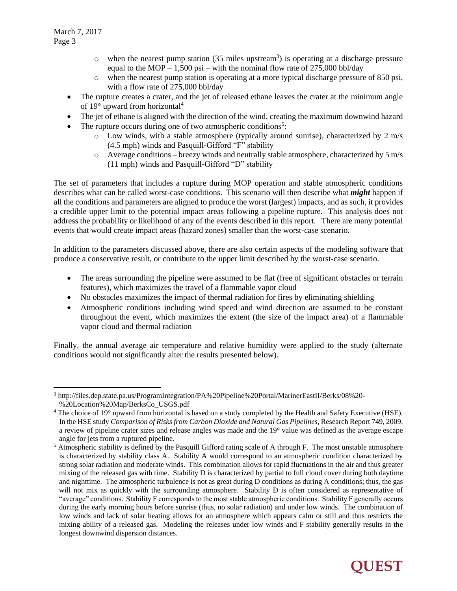l

- $\circ$  when the nearest pump station (35 miles upstream<sup>3</sup>) is operating at a discharge pressure equal to the MOP – 1,500 psi – with the nominal flow rate of 275,000 bbl/day
- o when the nearest pump station is operating at a more typical discharge pressure of 850 psi, with a flow rate of 275,000 bbl/day
- The rupture creates a crater, and the jet of released ethane leaves the crater at the minimum angle of 19 $^{\circ}$  upward from horizontal<sup>4</sup>
- The jet of ethane is aligned with the direction of the wind, creating the maximum downwind hazard
- The rupture occurs during one of two atmospheric conditions<sup>5</sup>:
	- o Low winds, with a stable atmosphere (typically around sunrise), characterized by 2 m/s (4.5 mph) winds and Pasquill-Gifford "F" stability
	- o Average conditions breezy winds and neutrally stable atmosphere, characterized by 5 m/s (11 mph) winds and Pasquill-Gifford "D" stability

The set of parameters that includes a rupture during MOP operation and stable atmospheric conditions describes what can be called worst-case conditions. This scenario will then describe what *might* happen if all the conditions and parameters are aligned to produce the worst (largest) impacts, and as such, it provides a credible upper limit to the potential impact areas following a pipeline rupture. This analysis does not address the probability or likelihood of any of the events described in this report. There are many potential events that would create impact areas (hazard zones) smaller than the worst-case scenario.

In addition to the parameters discussed above, there are also certain aspects of the modeling software that produce a conservative result, or contribute to the upper limit described by the worst-case scenario.

- The areas surrounding the pipeline were assumed to be flat (free of significant obstacles or terrain features), which maximizes the travel of a flammable vapor cloud
- No obstacles maximizes the impact of thermal radiation for fires by eliminating shielding
- Atmospheric conditions including wind speed and wind direction are assumed to be constant throughout the event, which maximizes the extent (the size of the impact area) of a flammable vapor cloud and thermal radiation

Finally, the annual average air temperature and relative humidity were applied to the study (alternate conditions would not significantly alter the results presented below).

<sup>&</sup>lt;sup>5</sup> Atmospheric stability is defined by the Pasquill Gifford rating scale of A through F. The most unstable atmosphere is characterized by stability class A. Stability A would correspond to an atmospheric condition characterized by strong solar radiation and moderate winds. This combination allows for rapid fluctuations in the air and thus greater mixing of the released gas with time. Stability D is characterized by partial to full cloud cover during both daytime and nighttime. The atmospheric turbulence is not as great during D conditions as during A conditions; thus, the gas will not mix as quickly with the surrounding atmosphere. Stability D is often considered as representative of "average" conditions. Stability F corresponds to the most stable atmospheric conditions. Stability F generally occurs during the early morning hours before sunrise (thus, no solar radiation) and under low winds. The combination of low winds and lack of solar heating allows for an atmosphere which appears calm or still and thus restricts the mixing ability of a released gas. Modeling the releases under low winds and F stability generally results in the longest downwind dispersion distances.



<sup>3</sup> http://files.dep.state.pa.us/ProgramIntegration/PA%20Pipeline%20Portal/MarinerEastII/Berks/08%20- %20Location%20Map/BerksCo\_USGS.pdf

<sup>&</sup>lt;sup>4</sup> The choice of 19° upward from horizontal is based on a study completed by the Health and Safety Executive (HSE). In the HSE study *Comparison of Risks from Carbon Dioxide and Natural Gas Pipelines*, Research Report 749, 2009, a review of pipeline crater sizes and release angles was made and the 19° value was defined as the average escape angle for jets from a ruptured pipeline.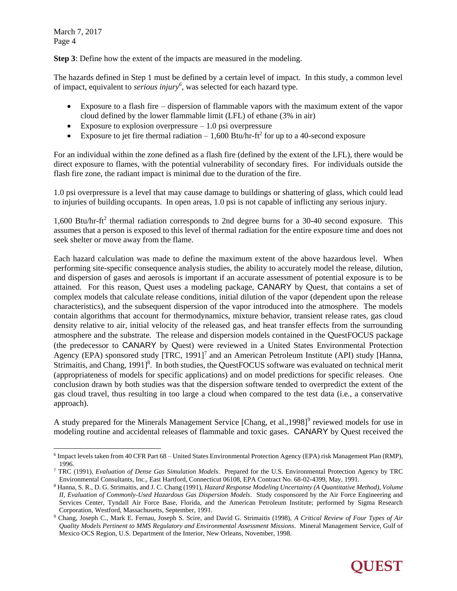March 7, 2017 Page 4

l

**Step 3**: Define how the extent of the impacts are measured in the modeling.

The hazards defined in Step 1 must be defined by a certain level of impact. In this study, a common level of impact, equivalent to *serious injury<sup>6</sup>* , was selected for each hazard type.

- Exposure to a flash fire dispersion of flammable vapors with the maximum extent of the vapor cloud defined by the lower flammable limit (LFL) of ethane (3% in air)
- Exposure to explosion overpressure  $-1.0$  psi overpressure
- Exposure to jet fire thermal radiation  $-1,600$  Btu/hr-ft<sup>2</sup> for up to a 40-second exposure

For an individual within the zone defined as a flash fire (defined by the extent of the LFL), there would be direct exposure to flames, with the potential vulnerability of secondary fires. For individuals outside the flash fire zone, the radiant impact is minimal due to the duration of the fire.

1.0 psi overpressure is a level that may cause damage to buildings or shattering of glass, which could lead to injuries of building occupants. In open areas, 1.0 psi is not capable of inflicting any serious injury.

1,600 Btu/hr-ft<sup>2</sup> thermal radiation corresponds to 2nd degree burns for a 30-40 second exposure. This assumes that a person is exposed to this level of thermal radiation for the entire exposure time and does not seek shelter or move away from the flame.

Each hazard calculation was made to define the maximum extent of the above hazardous level. When performing site-specific consequence analysis studies, the ability to accurately model the release, dilution, and dispersion of gases and aerosols is important if an accurate assessment of potential exposure is to be attained. For this reason, Quest uses a modeling package, CANARY by Quest, that contains a set of complex models that calculate release conditions, initial dilution of the vapor (dependent upon the release characteristics), and the subsequent dispersion of the vapor introduced into the atmosphere. The models contain algorithms that account for thermodynamics, mixture behavior, transient release rates, gas cloud density relative to air, initial velocity of the released gas, and heat transfer effects from the surrounding atmosphere and the substrate. The release and dispersion models contained in the QuestFOCUS package (the predecessor to CANARY by Quest) were reviewed in a United States Environmental Protection Agency (EPA) sponsored study [TRC, 1991]<sup>7</sup> and an American Petroleum Institute (API) study [Hanna, Strimaitis, and Chang, 1991]<sup>8</sup>. In both studies, the QuestFOCUS software was evaluated on technical merit (appropriateness of models for specific applications) and on model predictions for specific releases. One conclusion drawn by both studies was that the dispersion software tended to overpredict the extent of the gas cloud travel, thus resulting in too large a cloud when compared to the test data (i.e., a conservative approach).

A study prepared for the Minerals Management Service [Chang, et al., 1998]<sup>9</sup> reviewed models for use in modeling routine and accidental releases of flammable and toxic gases. CANARY by Quest received the

<sup>6</sup> Impact levels taken from 40 CFR Part 68 – United States Environmental Protection Agency (EPA) risk Management Plan (RMP), 1996.

<sup>7</sup> TRC (1991), *Evaluation of Dense Gas Simulation Models*. Prepared for the U.S. Environmental Protection Agency by TRC Environmental Consultants, Inc., East Hartford, Connecticut 06108, EPA Contract No. 68-02-4399, May, 1991.

<sup>8</sup> Hanna, S. R., D. G. Strimaitis, and J. C. Chang (1991), *Hazard Response Modeling Uncertainty (A Quantitative Method), Volume II, Evaluation of Commonly-Used Hazardous Gas Dispersion Models*. Study cosponsored by the Air Force Engineering and Services Center, Tyndall Air Force Base, Florida, and the American Petroleum Institute; performed by Sigma Research Corporation, Westford, Massachusetts, September, 1991.

<sup>9</sup> Chang, Joseph C., Mark E. Fernau, Joseph S. Scire, and David G. Strimaitis (1998), *A Critical Review of Four Types of Air Quality Models Pertinent to MMS Regulatory and Environmental Assessment Missions*. Mineral Management Service, Gulf of Mexico OCS Region, U.S. Department of the Interior, New Orleans, November, 1998.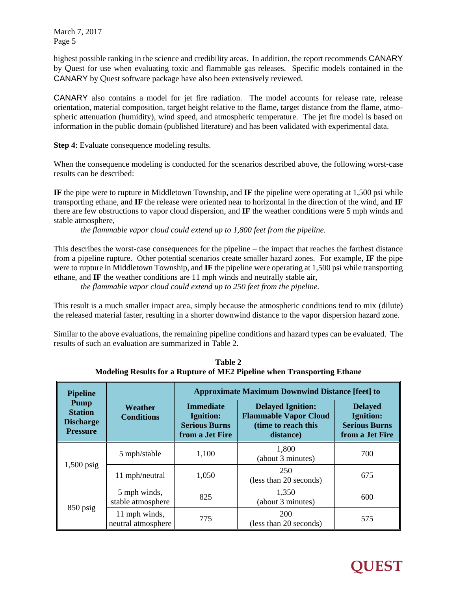March 7, 2017 Page 5

highest possible ranking in the science and credibility areas. In addition, the report recommends CANARY by Quest for use when evaluating toxic and flammable gas releases. Specific models contained in the CANARY by Quest software package have also been extensively reviewed.

CANARY also contains a model for jet fire radiation. The model accounts for release rate, release orientation, material composition, target height relative to the flame, target distance from the flame, atmospheric attenuation (humidity), wind speed, and atmospheric temperature. The jet fire model is based on information in the public domain (published literature) and has been validated with experimental data.

**Step 4**: Evaluate consequence modeling results.

When the consequence modeling is conducted for the scenarios described above, the following worst-case results can be described:

**IF** the pipe were to rupture in Middletown Township, and **IF** the pipeline were operating at 1,500 psi while transporting ethane, and **IF** the release were oriented near to horizontal in the direction of the wind, and **IF** there are few obstructions to vapor cloud dispersion, and **IF** the weather conditions were 5 mph winds and stable atmosphere,

*the flammable vapor cloud could extend up to 1,800 feet from the pipeline.*

This describes the worst-case consequences for the pipeline – the impact that reaches the farthest distance from a pipeline rupture. Other potential scenarios create smaller hazard zones. For example, **IF** the pipe were to rupture in Middletown Township, and **IF** the pipeline were operating at 1,500 psi while transporting ethane, and **IF** the weather conditions are 11 mph winds and neutrally stable air,

*the flammable vapor cloud could extend up to 250 feet from the pipeline.*

This result is a much smaller impact area, simply because the atmospheric conditions tend to mix (dilute) the released material faster, resulting in a shorter downwind distance to the vapor dispersion hazard zone.

Similar to the above evaluations, the remaining pipeline conditions and hazard types can be evaluated. The results of such an evaluation are summarized in Table 2.

| <b>Pipeline</b>                                                      |                                     | <b>Approximate Maximum Downwind Distance [feet] to</b>                          |                                                                                              |                                                                               |  |
|----------------------------------------------------------------------|-------------------------------------|---------------------------------------------------------------------------------|----------------------------------------------------------------------------------------------|-------------------------------------------------------------------------------|--|
| <b>Pump</b><br><b>Station</b><br><b>Discharge</b><br><b>Pressure</b> | Weather<br><b>Conditions</b>        | <b>Immediate</b><br><b>Ignition:</b><br><b>Serious Burns</b><br>from a Jet Fire | <b>Delayed Ignition:</b><br><b>Flammable Vapor Cloud</b><br>(time to reach this<br>distance) | <b>Delayed</b><br><b>Ignition:</b><br><b>Serious Burns</b><br>from a Jet Fire |  |
| $1,500$ psig                                                         | 5 mph/stable                        | 1,100                                                                           | 1,800<br>(about 3 minutes)                                                                   | 700                                                                           |  |
|                                                                      | 11 mph/neutral                      | 1,050                                                                           | 250<br>(less than 20 seconds)                                                                | 675                                                                           |  |
| 850 psig                                                             | 5 mph winds,<br>stable atmosphere   | 825                                                                             | 1,350<br>(about 3 minutes)                                                                   | 600                                                                           |  |
|                                                                      | 11 mph winds,<br>neutral atmosphere | 775                                                                             | <b>200</b><br>(less than 20 seconds)                                                         | 575                                                                           |  |

**Table 2 Modeling Results for a Rupture of ME2 Pipeline when Transporting Ethane**

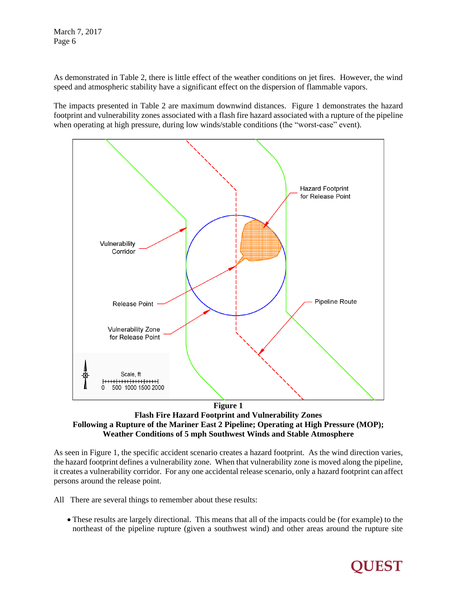March 7, 2017 Page 6

As demonstrated in Table 2, there is little effect of the weather conditions on jet fires. However, the wind speed and atmospheric stability have a significant effect on the dispersion of flammable vapors.

The impacts presented in Table 2 are maximum downwind distances. Figure 1 demonstrates the hazard footprint and vulnerability zones associated with a flash fire hazard associated with a rupture of the pipeline when operating at high pressure, during low winds/stable conditions (the "worst-case" event).



**Flash Fire Hazard Footprint and Vulnerability Zones Following a Rupture of the Mariner East 2 Pipeline; Operating at High Pressure (MOP); Weather Conditions of 5 mph Southwest Winds and Stable Atmosphere**

As seen in Figure 1, the specific accident scenario creates a hazard footprint. As the wind direction varies, the hazard footprint defines a vulnerability zone. When that vulnerability zone is moved along the pipeline, it creates a vulnerability corridor. For any one accidental release scenario, only a hazard footprint can affect persons around the release point.

- All There are several things to remember about these results:
	- These results are largely directional. This means that all of the impacts could be (for example) to the northeast of the pipeline rupture (given a southwest wind) and other areas around the rupture site

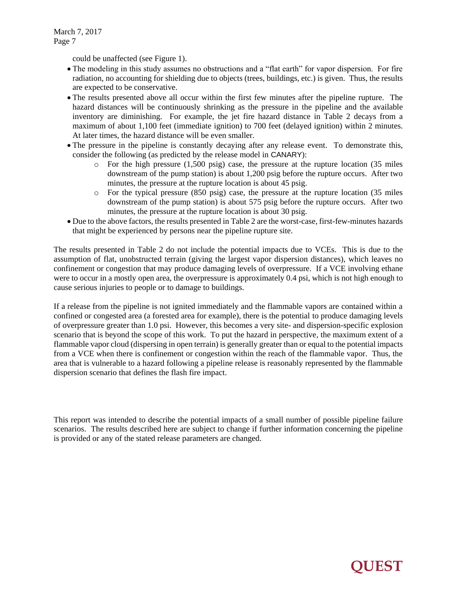could be unaffected (see Figure 1).

- The modeling in this study assumes no obstructions and a "flat earth" for vapor dispersion. For fire radiation, no accounting for shielding due to objects (trees, buildings, etc.) is given. Thus, the results are expected to be conservative.
- The results presented above all occur within the first few minutes after the pipeline rupture. The hazard distances will be continuously shrinking as the pressure in the pipeline and the available inventory are diminishing. For example, the jet fire hazard distance in Table 2 decays from a maximum of about 1,100 feet (immediate ignition) to 700 feet (delayed ignition) within 2 minutes. At later times, the hazard distance will be even smaller.
- The pressure in the pipeline is constantly decaying after any release event. To demonstrate this, consider the following (as predicted by the release model in CANARY):
	- o For the high pressure (1,500 psig) case, the pressure at the rupture location (35 miles downstream of the pump station) is about 1,200 psig before the rupture occurs. After two minutes, the pressure at the rupture location is about 45 psig.
	- o For the typical pressure (850 psig) case, the pressure at the rupture location (35 miles downstream of the pump station) is about 575 psig before the rupture occurs. After two minutes, the pressure at the rupture location is about 30 psig.
- Due to the above factors, the results presented in Table 2 are the worst-case, first-few-minutes hazards that might be experienced by persons near the pipeline rupture site.

The results presented in Table 2 do not include the potential impacts due to VCEs. This is due to the assumption of flat, unobstructed terrain (giving the largest vapor dispersion distances), which leaves no confinement or congestion that may produce damaging levels of overpressure. If a VCE involving ethane were to occur in a mostly open area, the overpressure is approximately 0.4 psi, which is not high enough to cause serious injuries to people or to damage to buildings.

If a release from the pipeline is not ignited immediately and the flammable vapors are contained within a confined or congested area (a forested area for example), there is the potential to produce damaging levels of overpressure greater than 1.0 psi. However, this becomes a very site- and dispersion-specific explosion scenario that is beyond the scope of this work. To put the hazard in perspective, the maximum extent of a flammable vapor cloud (dispersing in open terrain) is generally greater than or equal to the potential impacts from a VCE when there is confinement or congestion within the reach of the flammable vapor. Thus, the area that is vulnerable to a hazard following a pipeline release is reasonably represented by the flammable dispersion scenario that defines the flash fire impact.

This report was intended to describe the potential impacts of a small number of possible pipeline failure scenarios. The results described here are subject to change if further information concerning the pipeline is provided or any of the stated release parameters are changed.

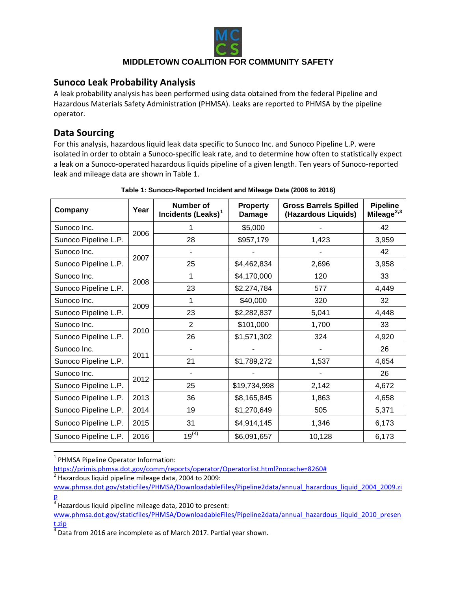

# **Sunoco Leak Probability Analysis**

A leak probability analysis has been performed using data obtained from the federal Pipeline and Hazardous Materials Safety Administration (PHMSA). Leaks are reported to PHMSA by the pipeline operator.

# **Data Sourcing**

For this analysis, hazardous liquid leak data specific to Sunoco Inc. and Sunoco Pipeline L.P. were isolated in order to obtain a Sunoco-specific leak rate, and to determine how often to statistically expect a leak on a Sunoco-operated hazardous liquids pipeline of a given length. Ten years of Sunoco-reported leak and mileage data are shown in [Table 1.](#page-8-0)

<span id="page-8-0"></span>

| Company              | Year | Number of<br>Incidents (Leaks) <sup>1</sup> | <b>Property</b><br>Damage | <b>Gross Barrels Spilled</b><br>(Hazardous Liquids) | <b>Pipeline</b><br>Mileage <sup>2,3</sup> |
|----------------------|------|---------------------------------------------|---------------------------|-----------------------------------------------------|-------------------------------------------|
| Sunoco Inc.          | 2006 |                                             | \$5,000                   |                                                     | 42                                        |
| Sunoco Pipeline L.P. |      | 28                                          | \$957,179                 | 1,423                                               | 3,959                                     |
| Sunoco Inc.          | 2007 |                                             |                           |                                                     | 42                                        |
| Sunoco Pipeline L.P. |      | 25                                          | \$4,462,834               | 2,696                                               | 3,958                                     |
| Sunoco Inc.          | 2008 | 1                                           | \$4,170,000               | 120                                                 | 33                                        |
| Sunoco Pipeline L.P. |      | 23                                          | \$2,274,784               | 577                                                 | 4,449                                     |
| Sunoco Inc.          | 2009 | 1                                           | \$40,000                  | 320                                                 | 32                                        |
| Sunoco Pipeline L.P. |      | 23                                          | \$2,282,837               | 5,041                                               | 4,448                                     |
| Sunoco Inc.          | 2010 | $\overline{2}$                              | \$101,000                 | 1,700                                               | 33                                        |
| Sunoco Pipeline L.P. |      | 26                                          | \$1,571,302               | 324                                                 | 4,920                                     |
| Sunoco Inc.          | 2011 |                                             |                           |                                                     | 26                                        |
| Sunoco Pipeline L.P. |      | 21                                          | \$1,789,272               | 1,537                                               | 4,654                                     |
| Sunoco Inc.          | 2012 |                                             |                           |                                                     | 26                                        |
| Sunoco Pipeline L.P. |      | 25                                          | \$19,734,998              | 2,142                                               | 4,672                                     |
| Sunoco Pipeline L.P. | 2013 | 36                                          | \$8,165,845               | 1,863                                               | 4,658                                     |
| Sunoco Pipeline L.P. | 2014 | 19                                          | \$1,270,649               | 505                                                 | 5,371                                     |
| Sunoco Pipeline L.P. | 2015 | 31                                          | \$4,914,145               | 1,346                                               | 6,173                                     |
| Sunoco Pipeline L.P. | 2016 | $19^{(4)}$                                  | \$6,091,657               | 10,128                                              | 6,173                                     |

#### **Table 1: Sunoco-Reported Incident and Mileage Data (2006 to 2016)**

<span id="page-8-1"></span><sup>1</sup> PHMSA Pipeline Operator Information:

[https://primis.phmsa.dot.gov/comm/reports/operator/Operatorlist.html?nocache=8260#](https://primis.phmsa.dot.gov/comm/reports/operator/Operatorlist.html?nocache=8260)

<span id="page-8-2"></span> $2$  Hazardous liquid pipeline mileage data, 2004 to 2009:

[www.phmsa.dot.gov/staticfiles/PHMSA/DownloadableFiles/Pipeline2data/annual\\_hazardous\\_liquid\\_2004\\_2009.zi](http://www.phmsa.dot.gov/staticfiles/PHMSA/DownloadableFiles/Pipeline2data/annual_hazardous_liquid_2004_2009.zip) [p](http://www.phmsa.dot.gov/staticfiles/PHMSA/DownloadableFiles/Pipeline2data/annual_hazardous_liquid_2004_2009.zip)

<span id="page-8-3"></span> $3$  Hazardous liquid pipeline mileage data, 2010 to present:

[www.phmsa.dot.gov/staticfiles/PHMSA/DownloadableFiles/Pipeline2data/annual\\_hazardous\\_liquid\\_2010\\_presen](http://www.phmsa.dot.gov/staticfiles/PHMSA/DownloadableFiles/Pipeline2data/annual_hazardous_liquid_2010_present.zip)  $\frac{t.zip}{4}$  $\frac{t.zip}{4}$  $\frac{t.zip}{4}$  Data from 2016 are incomplete as of March 2017. Partial year shown.

<span id="page-8-4"></span>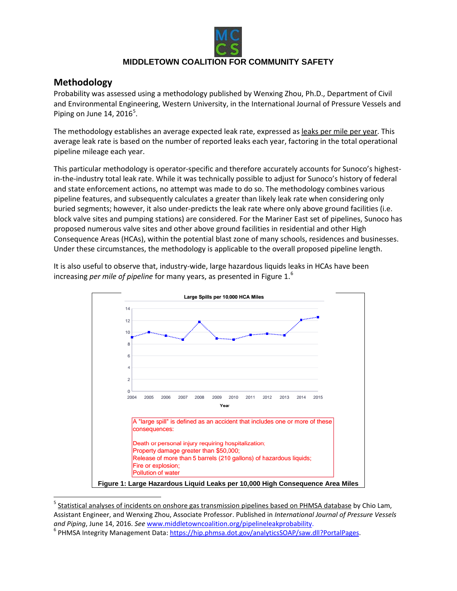

# **Methodology**

Probability was assessed using a methodology published by Wenxing Zhou, Ph.D., Department of Civil and Environmental Engineering, Western University, in the International Journal of Pressure Vessels and Piping on June 14, 2016 $^5$  $^5$ .

The methodology establishes an average expected leak rate, expressed as leaks per mile per year. This average leak rate is based on the number of reported leaks each year, factoring in the total operational pipeline mileage each year.

This particular methodology is operator-specific and therefore accurately accounts for Sunoco's highestin-the-industry total leak rate. While it was technically possible to adjust for Sunoco's history of federal and state enforcement actions, no attempt was made to do so. The methodology combines various pipeline features, and subsequently calculates a greater than likely leak rate when considering only buried segments; however, it also under-predicts the leak rate where only above ground facilities (i.e. block valve sites and pumping stations) are considered. For the Mariner East set of pipelines, Sunoco has proposed numerous valve sites and other above ground facilities in residential and other High Consequence Areas (HCAs), within the potential blast zone of many schools, residences and businesses. Under these circumstances, the methodology is applicable to the overall proposed pipeline length.



It is also useful to observe that, industry-wide, large hazardous liquids leaks in HCAs have been increasing *per mile of pipeline* for many years, as presented in [Figure 1.](#page-9-0) [6](#page-9-2)

<span id="page-9-1"></span><span id="page-9-0"></span><sup>&</sup>lt;sup>5</sup> Statistical analyses of incidents on onshore gas transmission pipelines based on PHMSA database by Chio Lam, Assistant Engineer, and Wenxing Zhou, Associate Professor. Published in *International Journal of Pressure Vessels and Piping*, June 14, 2016. *See* [www.middletowncoalition.org/pipelineleakprobability.](http://www.middletowncoalition.org/pipelineleakprobability) <sup>6</sup> PHMSA Integrity Management Data: [https://hip.phmsa.dot.gov/analyticsSOAP/saw.dll?PortalPages.](https://hip.phmsa.dot.gov/analyticsSOAP/saw.dll?PortalPages)

<span id="page-9-2"></span>